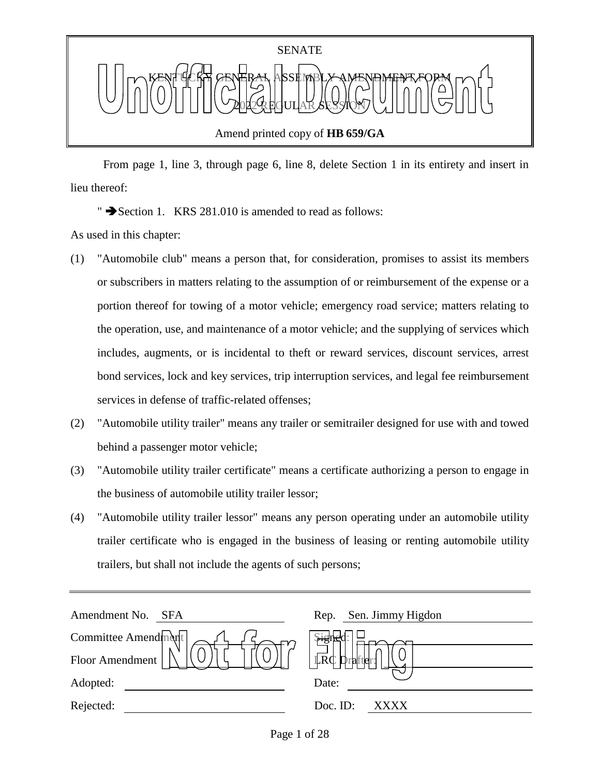

 From page 1, line 3, through page 6, line 8, delete Section 1 in its entirety and insert in lieu thereof:

" Section 1. KRS 281.010 is amended to read as follows:

As used in this chapter:

- (1) "Automobile club" means a person that, for consideration, promises to assist its members or subscribers in matters relating to the assumption of or reimbursement of the expense or a portion thereof for towing of a motor vehicle; emergency road service; matters relating to the operation, use, and maintenance of a motor vehicle; and the supplying of services which includes, augments, or is incidental to theft or reward services, discount services, arrest bond services, lock and key services, trip interruption services, and legal fee reimbursement services in defense of traffic-related offenses;
- (2) "Automobile utility trailer" means any trailer or semitrailer designed for use with and towed behind a passenger motor vehicle;
- (3) "Automobile utility trailer certificate" means a certificate authorizing a person to engage in the business of automobile utility trailer lessor;
- (4) "Automobile utility trailer lessor" means any person operating under an automobile utility trailer certificate who is engaged in the business of leasing or renting automobile utility trailers, but shall not include the agents of such persons;

| Sen. Jimmy Higdon<br>Rep. |
|---------------------------|
| <b>Pisud</b>              |
|                           |
| Date:                     |
| Doc. ID:<br>XXXX          |
|                           |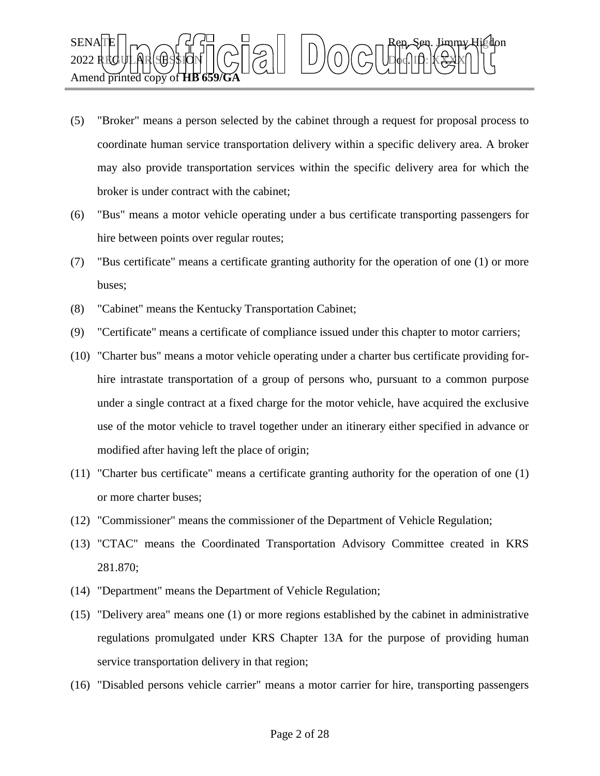

- (5) "Broker" means a person selected by the cabinet through a request for proposal process to coordinate human service transportation delivery within a specific delivery area. A broker may also provide transportation services within the specific delivery area for which the broker is under contract with the cabinet;
- (6) "Bus" means a motor vehicle operating under a bus certificate transporting passengers for hire between points over regular routes;
- (7) "Bus certificate" means a certificate granting authority for the operation of one (1) or more buses;
- (8) "Cabinet" means the Kentucky Transportation Cabinet;
- (9) "Certificate" means a certificate of compliance issued under this chapter to motor carriers;
- (10) "Charter bus" means a motor vehicle operating under a charter bus certificate providing forhire intrastate transportation of a group of persons who, pursuant to a common purpose under a single contract at a fixed charge for the motor vehicle, have acquired the exclusive use of the motor vehicle to travel together under an itinerary either specified in advance or modified after having left the place of origin;
- (11) "Charter bus certificate" means a certificate granting authority for the operation of one (1) or more charter buses;
- (12) "Commissioner" means the commissioner of the Department of Vehicle Regulation;
- (13) "CTAC" means the Coordinated Transportation Advisory Committee created in KRS 281.870;
- (14) "Department" means the Department of Vehicle Regulation;
- (15) "Delivery area" means one (1) or more regions established by the cabinet in administrative regulations promulgated under KRS Chapter 13A for the purpose of providing human service transportation delivery in that region;
- (16) "Disabled persons vehicle carrier" means a motor carrier for hire, transporting passengers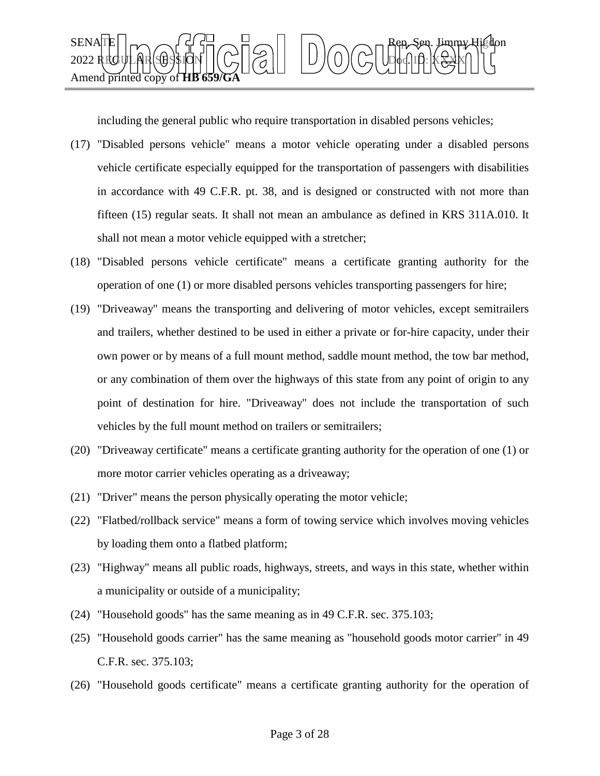

including the general public who require transportation in disabled persons vehicles;

- (17) "Disabled persons vehicle" means a motor vehicle operating under a disabled persons vehicle certificate especially equipped for the transportation of passengers with disabilities in accordance with 49 C.F.R. pt. 38, and is designed or constructed with not more than fifteen (15) regular seats. It shall not mean an ambulance as defined in KRS 311A.010. It shall not mean a motor vehicle equipped with a stretcher;
- (18) "Disabled persons vehicle certificate" means a certificate granting authority for the operation of one (1) or more disabled persons vehicles transporting passengers for hire;
- (19) "Driveaway" means the transporting and delivering of motor vehicles, except semitrailers and trailers, whether destined to be used in either a private or for-hire capacity, under their own power or by means of a full mount method, saddle mount method, the tow bar method, or any combination of them over the highways of this state from any point of origin to any point of destination for hire. "Driveaway" does not include the transportation of such vehicles by the full mount method on trailers or semitrailers;
- (20) "Driveaway certificate" means a certificate granting authority for the operation of one (1) or more motor carrier vehicles operating as a driveaway;
- (21) "Driver" means the person physically operating the motor vehicle;
- (22) "Flatbed/rollback service" means a form of towing service which involves moving vehicles by loading them onto a flatbed platform;
- (23) "Highway" means all public roads, highways, streets, and ways in this state, whether within a municipality or outside of a municipality;
- (24) "Household goods" has the same meaning as in 49 C.F.R. sec. 375.103;
- (25) "Household goods carrier" has the same meaning as "household goods motor carrier" in 49 C.F.R. sec. 375.103;
- (26) "Household goods certificate" means a certificate granting authority for the operation of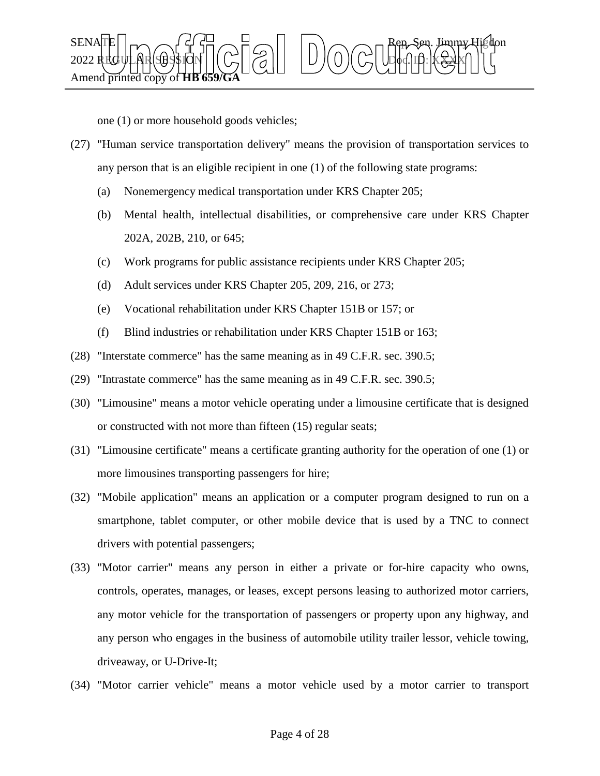

one (1) or more household goods vehicles;

- (27) "Human service transportation delivery" means the provision of transportation services to any person that is an eligible recipient in one (1) of the following state programs:
	- (a) Nonemergency medical transportation under KRS Chapter 205;
	- (b) Mental health, intellectual disabilities, or comprehensive care under KRS Chapter 202A, 202B, 210, or 645;
	- (c) Work programs for public assistance recipients under KRS Chapter 205;
	- (d) Adult services under KRS Chapter 205, 209, 216, or 273;
	- (e) Vocational rehabilitation under KRS Chapter 151B or 157; or
	- (f) Blind industries or rehabilitation under KRS Chapter 151B or 163;
- (28) "Interstate commerce" has the same meaning as in 49 C.F.R. sec. 390.5;
- (29) "Intrastate commerce" has the same meaning as in 49 C.F.R. sec. 390.5;
- (30) "Limousine" means a motor vehicle operating under a limousine certificate that is designed or constructed with not more than fifteen (15) regular seats;
- (31) "Limousine certificate" means a certificate granting authority for the operation of one (1) or more limousines transporting passengers for hire;
- (32) "Mobile application" means an application or a computer program designed to run on a smartphone, tablet computer, or other mobile device that is used by a TNC to connect drivers with potential passengers;
- (33) "Motor carrier" means any person in either a private or for-hire capacity who owns, controls, operates, manages, or leases, except persons leasing to authorized motor carriers, any motor vehicle for the transportation of passengers or property upon any highway, and any person who engages in the business of automobile utility trailer lessor, vehicle towing, driveaway, or U-Drive-It;
- (34) "Motor carrier vehicle" means a motor vehicle used by a motor carrier to transport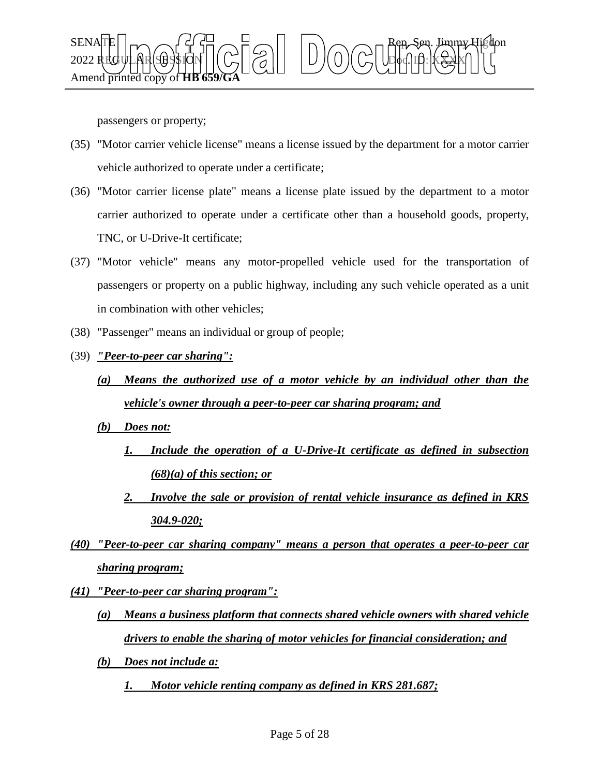

passengers or property;

- (35) "Motor carrier vehicle license" means a license issued by the department for a motor carrier vehicle authorized to operate under a certificate;
- (36) "Motor carrier license plate" means a license plate issued by the department to a motor carrier authorized to operate under a certificate other than a household goods, property, TNC, or U-Drive-It certificate;
- (37) "Motor vehicle" means any motor-propelled vehicle used for the transportation of passengers or property on a public highway, including any such vehicle operated as a unit in combination with other vehicles;
- (38) "Passenger" means an individual or group of people;
- (39) *"Peer-to-peer car sharing":*

# *(a) Means the authorized use of a motor vehicle by an individual other than the vehicle's owner through a peer-to-peer car sharing program; and*

- *(b) Does not:*
	- *1. Include the operation of a U-Drive-It certificate as defined in subsection (68)(a) of this section; or*
	- *2. Involve the sale or provision of rental vehicle insurance as defined in KRS 304.9-020;*
- *(40) "Peer-to-peer car sharing company" means a person that operates a peer-to-peer car sharing program;*
- *(41) "Peer-to-peer car sharing program":*
	- *(a) Means a business platform that connects shared vehicle owners with shared vehicle drivers to enable the sharing of motor vehicles for financial consideration; and*
	- *(b) Does not include a:*
		- *1. Motor vehicle renting company as defined in KRS 281.687;*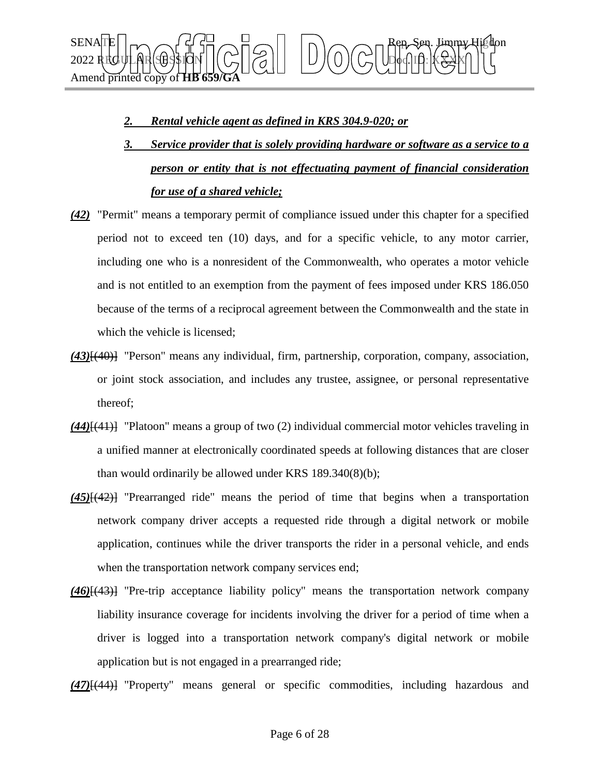

## *2. Rental vehicle agent as defined in KRS 304.9-020; or*

- *3. Service provider that is solely providing hardware or software as a service to a person or entity that is not effectuating payment of financial consideration for use of a shared vehicle;*
- *(42)* "Permit" means a temporary permit of compliance issued under this chapter for a specified period not to exceed ten (10) days, and for a specific vehicle, to any motor carrier, including one who is a nonresident of the Commonwealth, who operates a motor vehicle and is not entitled to an exemption from the payment of fees imposed under KRS 186.050 because of the terms of a reciprocal agreement between the Commonwealth and the state in which the vehicle is licensed;
- *(43)*[(40)] "Person" means any individual, firm, partnership, corporation, company, association, or joint stock association, and includes any trustee, assignee, or personal representative thereof;
- *(44)*[(41)] "Platoon" means a group of two (2) individual commercial motor vehicles traveling in a unified manner at electronically coordinated speeds at following distances that are closer than would ordinarily be allowed under KRS 189.340(8)(b);
- *(45)*[(42)] "Prearranged ride" means the period of time that begins when a transportation network company driver accepts a requested ride through a digital network or mobile application, continues while the driver transports the rider in a personal vehicle, and ends when the transportation network company services end;
- *(46)*[(43)] "Pre-trip acceptance liability policy" means the transportation network company liability insurance coverage for incidents involving the driver for a period of time when a driver is logged into a transportation network company's digital network or mobile application but is not engaged in a prearranged ride;

*(47)*[(44)] "Property" means general or specific commodities, including hazardous and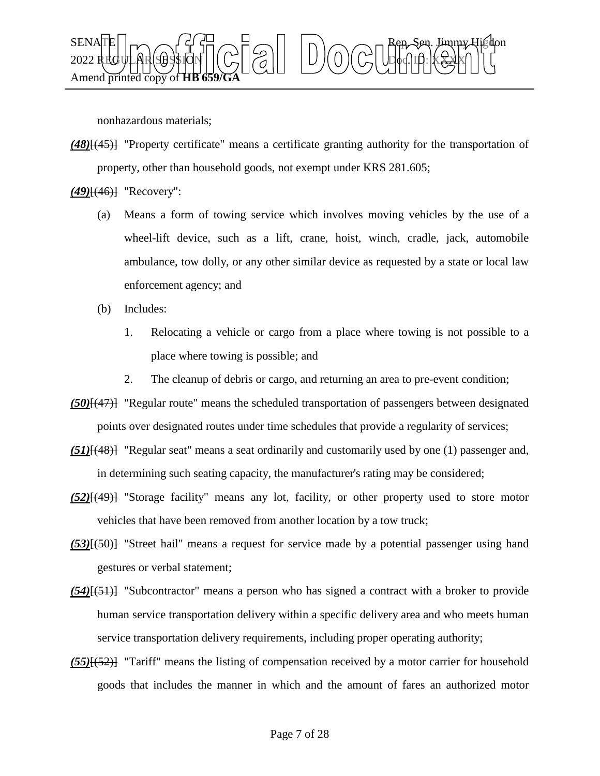

nonhazardous materials;

*(48)*[(45)] "Property certificate" means a certificate granting authority for the transportation of property, other than household goods, not exempt under KRS 281.605;

*(49)*[(46)] "Recovery":

- (a) Means a form of towing service which involves moving vehicles by the use of a wheel-lift device, such as a lift, crane, hoist, winch, cradle, jack, automobile ambulance, tow dolly, or any other similar device as requested by a state or local law enforcement agency; and
- (b) Includes:
	- 1. Relocating a vehicle or cargo from a place where towing is not possible to a place where towing is possible; and
	- 2. The cleanup of debris or cargo, and returning an area to pre-event condition;
- *(50)*[(47)] "Regular route" means the scheduled transportation of passengers between designated points over designated routes under time schedules that provide a regularity of services;
- *(51)*[(48)] "Regular seat" means a seat ordinarily and customarily used by one (1) passenger and, in determining such seating capacity, the manufacturer's rating may be considered;
- *(52)*[(49)] "Storage facility" means any lot, facility, or other property used to store motor vehicles that have been removed from another location by a tow truck;
- *(53)*[(50)] "Street hail" means a request for service made by a potential passenger using hand gestures or verbal statement;
- *(54)*[(51)] "Subcontractor" means a person who has signed a contract with a broker to provide human service transportation delivery within a specific delivery area and who meets human service transportation delivery requirements, including proper operating authority;
- *(55)*[(52)] "Tariff" means the listing of compensation received by a motor carrier for household goods that includes the manner in which and the amount of fares an authorized motor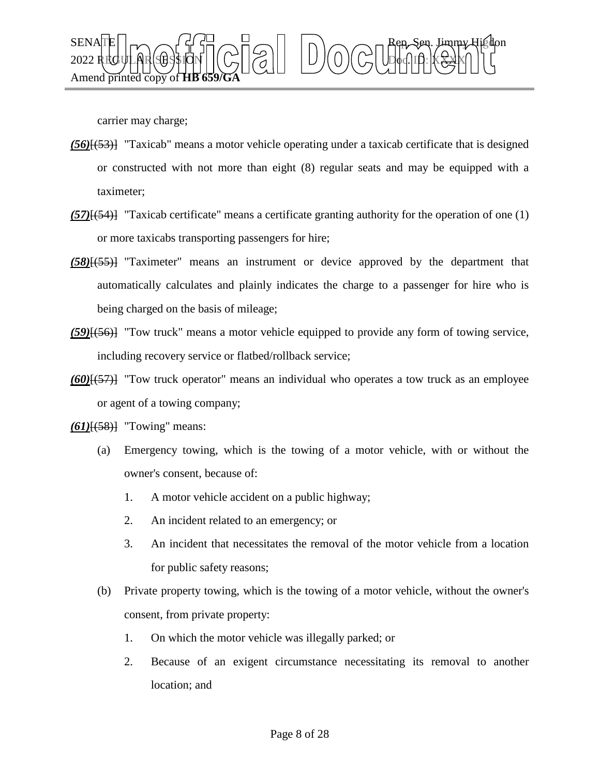

carrier may charge;

- *(56)*[(53)] "Taxicab" means a motor vehicle operating under a taxicab certificate that is designed or constructed with not more than eight (8) regular seats and may be equipped with a taximeter;
- *(57)*[(54)] "Taxicab certificate" means a certificate granting authority for the operation of one (1) or more taxicabs transporting passengers for hire;
- *(58)*[(55)] "Taximeter" means an instrument or device approved by the department that automatically calculates and plainly indicates the charge to a passenger for hire who is being charged on the basis of mileage;
- *(59)*[(56)] "Tow truck" means a motor vehicle equipped to provide any form of towing service, including recovery service or flatbed/rollback service;
- *(60)*[(57)] "Tow truck operator" means an individual who operates a tow truck as an employee or agent of a towing company;
- *(61)*[(58)] "Towing" means:
	- (a) Emergency towing, which is the towing of a motor vehicle, with or without the owner's consent, because of:
		- 1. A motor vehicle accident on a public highway;
		- 2. An incident related to an emergency; or
		- 3. An incident that necessitates the removal of the motor vehicle from a location for public safety reasons;
	- (b) Private property towing, which is the towing of a motor vehicle, without the owner's consent, from private property:
		- 1. On which the motor vehicle was illegally parked; or
		- 2. Because of an exigent circumstance necessitating its removal to another location; and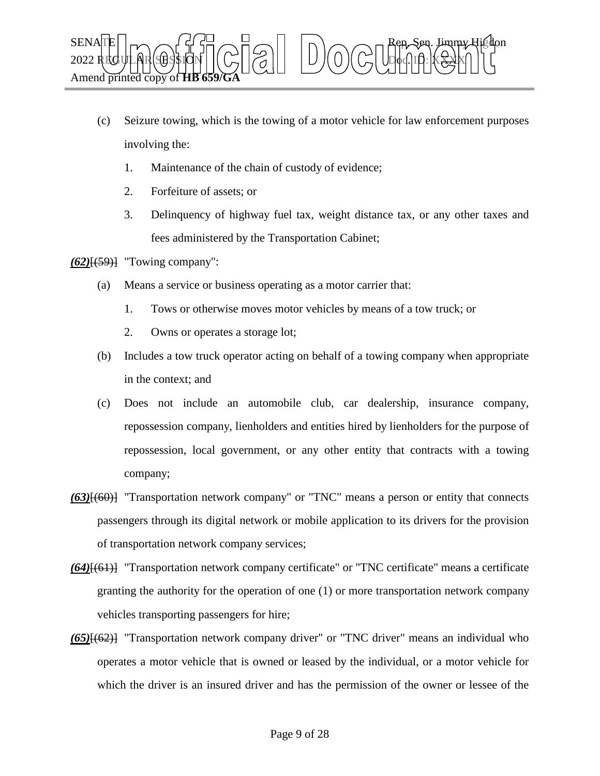

- (c) Seizure towing, which is the towing of a motor vehicle for law enforcement purposes involving the:
	- 1. Maintenance of the chain of custody of evidence;
	- 2. Forfeiture of assets; or
	- 3. Delinquency of highway fuel tax, weight distance tax, or any other taxes and fees administered by the Transportation Cabinet;

*(62)*[(59)] "Towing company":

- (a) Means a service or business operating as a motor carrier that:
	- 1. Tows or otherwise moves motor vehicles by means of a tow truck; or
	- 2. Owns or operates a storage lot;
- (b) Includes a tow truck operator acting on behalf of a towing company when appropriate in the context; and
- (c) Does not include an automobile club, car dealership, insurance company, repossession company, lienholders and entities hired by lienholders for the purpose of repossession, local government, or any other entity that contracts with a towing company;
- *(63)*[(60)] "Transportation network company" or "TNC" means a person or entity that connects passengers through its digital network or mobile application to its drivers for the provision of transportation network company services;
- *(64)*[(61)] "Transportation network company certificate" or "TNC certificate" means a certificate granting the authority for the operation of one (1) or more transportation network company vehicles transporting passengers for hire;
- *(65)*[(62)] "Transportation network company driver" or "TNC driver" means an individual who operates a motor vehicle that is owned or leased by the individual, or a motor vehicle for which the driver is an insured driver and has the permission of the owner or lessee of the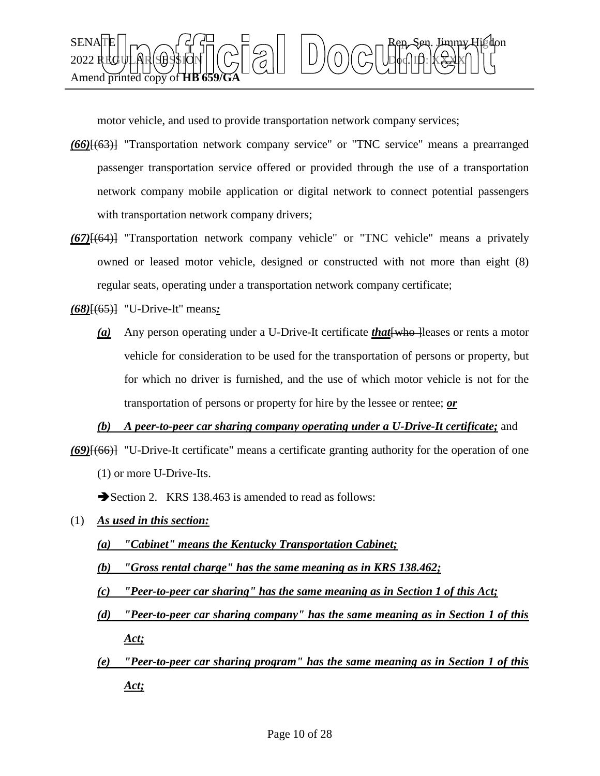

motor vehicle, and used to provide transportation network company services;

- *(66)*[(63)] "Transportation network company service" or "TNC service" means a prearranged passenger transportation service offered or provided through the use of a transportation network company mobile application or digital network to connect potential passengers with transportation network company drivers;
- *(67)*[(64)] "Transportation network company vehicle" or "TNC vehicle" means a privately owned or leased motor vehicle, designed or constructed with not more than eight (8) regular seats, operating under a transportation network company certificate;

*(68)*[(65)] "U-Drive-It" means*:*

*(a)* Any person operating under a U-Drive-It certificate *that*[who ]leases or rents a motor vehicle for consideration to be used for the transportation of persons or property, but for which no driver is furnished, and the use of which motor vehicle is not for the transportation of persons or property for hire by the lessee or rentee; *or*

*(b) A peer-to-peer car sharing company operating under a U-Drive-It certificate;* and

*(69)*[(66)] "U-Drive-It certificate" means a certificate granting authority for the operation of one (1) or more U-Drive-Its.

Section 2. KRS 138.463 is amended to read as follows:

- (1) *As used in this section:*
	- *(a) "Cabinet" means the Kentucky Transportation Cabinet;*
	- *(b) "Gross rental charge" has the same meaning as in KRS 138.462;*

*(c) "Peer-to-peer car sharing" has the same meaning as in Section 1 of this Act;*

- *(d) "Peer-to-peer car sharing company" has the same meaning as in Section 1 of this Act;*
- *(e) "Peer-to-peer car sharing program" has the same meaning as in Section 1 of this Act;*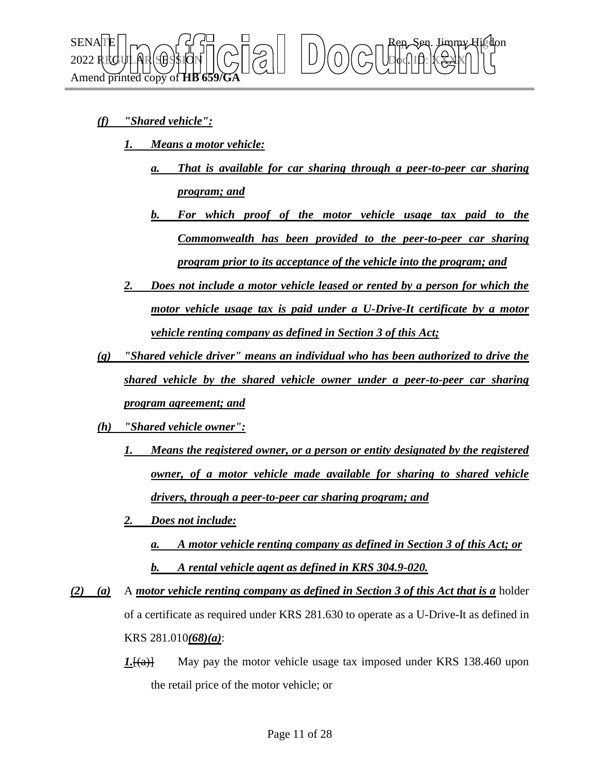

- *(f) "Shared vehicle":* 
	- *1. Means a motor vehicle:*
		- *a. That is available for car sharing through a peer-to-peer car sharing program; and*
		- *b. For which proof of the motor vehicle usage tax paid to the Commonwealth has been provided to the peer-to-peer car sharing program prior to its acceptance of the vehicle into the program; and*
	- *2. Does not include a motor vehicle leased or rented by a person for which the motor vehicle usage tax is paid under a U-Drive-It certificate by a motor vehicle renting company as defined in Section 3 of this Act;*
- *(g) "Shared vehicle driver" means an individual who has been authorized to drive the shared vehicle by the shared vehicle owner under a peer-to-peer car sharing program agreement; and*
- *(h) "Shared vehicle owner":*
	- *1. Means the registered owner, or a person or entity designated by the registered owner, of a motor vehicle made available for sharing to shared vehicle drivers, through a peer-to-peer car sharing program; and*
	- *2. Does not include:*
		- *a. A motor vehicle renting company as defined in Section 3 of this Act; or b. A rental vehicle agent as defined in KRS 304.9-020.*
- *(2) (a)* A *motor vehicle renting company as defined in Section 3 of this Act that is a* holder of a certificate as required under KRS 281.630 to operate as a U-Drive-It as defined in KRS 281.010*(68)(a)*:
	- *1.*[(a)] May pay the motor vehicle usage tax imposed under KRS 138.460 upon the retail price of the motor vehicle; or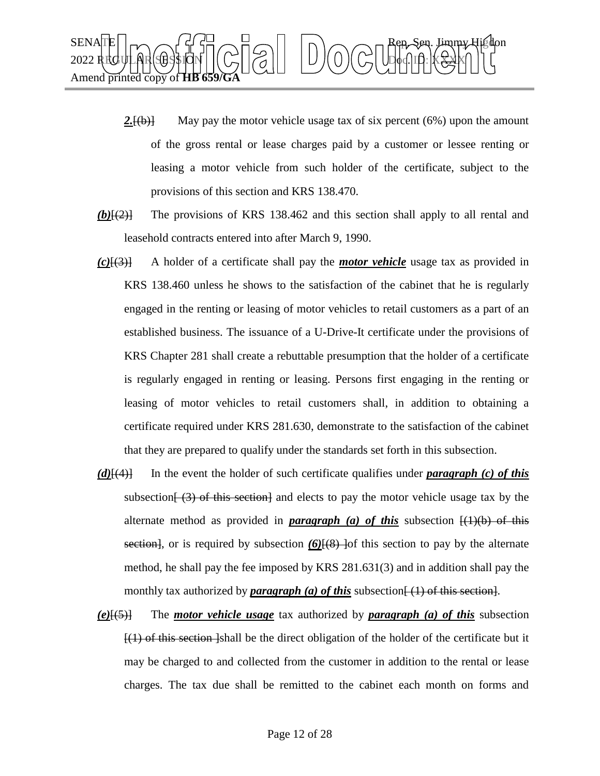

- 2.<del>[(b)]</del> May pay the motor vehicle usage tax of six percent (6%) upon the amount of the gross rental or lease charges paid by a customer or lessee renting or leasing a motor vehicle from such holder of the certificate, subject to the provisions of this section and KRS 138.470.
- *(b)*[(2)] The provisions of KRS 138.462 and this section shall apply to all rental and leasehold contracts entered into after March 9, 1990.
- *(c)*[(3)] A holder of a certificate shall pay the *motor vehicle* usage tax as provided in KRS 138.460 unless he shows to the satisfaction of the cabinet that he is regularly engaged in the renting or leasing of motor vehicles to retail customers as a part of an established business. The issuance of a U-Drive-It certificate under the provisions of KRS Chapter 281 shall create a rebuttable presumption that the holder of a certificate is regularly engaged in renting or leasing. Persons first engaging in the renting or leasing of motor vehicles to retail customers shall, in addition to obtaining a certificate required under KRS 281.630, demonstrate to the satisfaction of the cabinet that they are prepared to qualify under the standards set forth in this subsection.
- *(d)*[(4)] In the event the holder of such certificate qualifies under *paragraph (c) of this*  subsection $\left[\right]$  (3) of this section and elects to pay the motor vehicle usage tax by the alternate method as provided in **paragraph** (a) of this subsection  $\left(\frac{1}{b}\right)$  of this section], or is required by subsection  $(6)$  $(8)$  ]of this section to pay by the alternate method, he shall pay the fee imposed by KRS 281.631(3) and in addition shall pay the monthly tax authorized by *paragraph* (a) of this subsection  $\{1\}$  of this section.
- *(e)*[(5)] The *motor vehicle usage* tax authorized by *paragraph (a) of this* subsection  $\left\{\left(1\right)$  of this section-shall be the direct obligation of the holder of the certificate but it may be charged to and collected from the customer in addition to the rental or lease charges. The tax due shall be remitted to the cabinet each month on forms and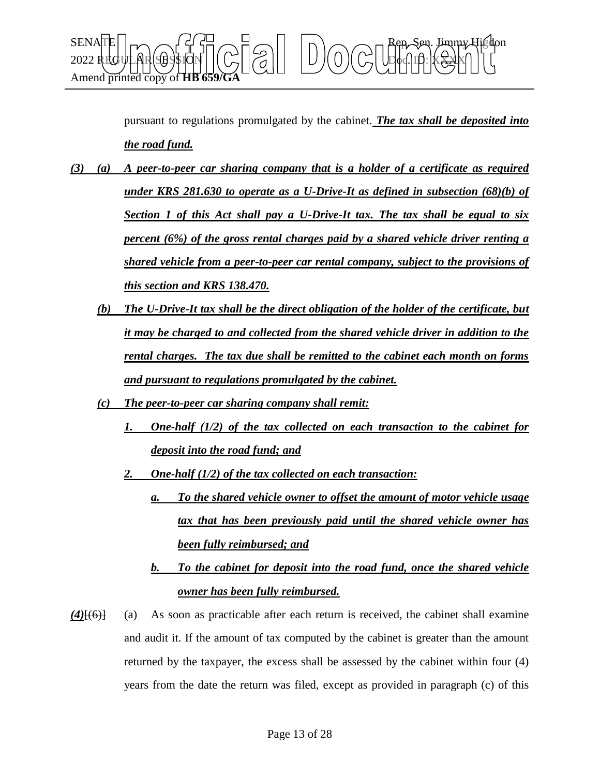

pursuant to regulations promulgated by the cabinet. *The tax shall be deposited into the road fund.*

- *(3) (a) A peer-to-peer car sharing company that is a holder of a certificate as required under KRS 281.630 to operate as a U-Drive-It as defined in subsection (68)(b) of Section 1 of this Act shall pay a U-Drive-It tax. The tax shall be equal to six percent (6%) of the gross rental charges paid by a shared vehicle driver renting a shared vehicle from a peer-to-peer car rental company, subject to the provisions of this section and KRS 138.470.*
	- *(b) The U-Drive-It tax shall be the direct obligation of the holder of the certificate, but it may be charged to and collected from the shared vehicle driver in addition to the rental charges. The tax due shall be remitted to the cabinet each month on forms and pursuant to regulations promulgated by the cabinet.*
	- *(c) The peer-to-peer car sharing company shall remit:*
		- *1. One-half (1/2) of the tax collected on each transaction to the cabinet for deposit into the road fund; and*
		- *2. One-half (1/2) of the tax collected on each transaction:*
			- *a. To the shared vehicle owner to offset the amount of motor vehicle usage tax that has been previously paid until the shared vehicle owner has been fully reimbursed; and*
			- *b. To the cabinet for deposit into the road fund, once the shared vehicle owner has been fully reimbursed.*
- *(4)*[(6)] (a) As soon as practicable after each return is received, the cabinet shall examine and audit it. If the amount of tax computed by the cabinet is greater than the amount returned by the taxpayer, the excess shall be assessed by the cabinet within four (4) years from the date the return was filed, except as provided in paragraph (c) of this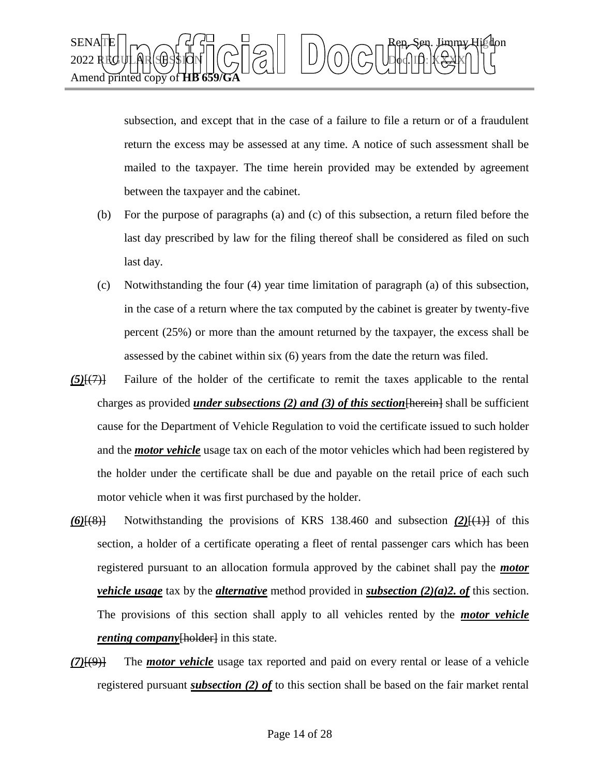

subsection, and except that in the case of a failure to file a return or of a fraudulent return the excess may be assessed at any time. A notice of such assessment shall be mailed to the taxpayer. The time herein provided may be extended by agreement between the taxpayer and the cabinet.

- (b) For the purpose of paragraphs (a) and (c) of this subsection, a return filed before the last day prescribed by law for the filing thereof shall be considered as filed on such last day.
- (c) Notwithstanding the four (4) year time limitation of paragraph (a) of this subsection, in the case of a return where the tax computed by the cabinet is greater by twenty-five percent (25%) or more than the amount returned by the taxpayer, the excess shall be assessed by the cabinet within six (6) years from the date the return was filed.
- *(5)*[(7)] Failure of the holder of the certificate to remit the taxes applicable to the rental charges as provided *under subsections (2) and (3) of this section*[herein] shall be sufficient cause for the Department of Vehicle Regulation to void the certificate issued to such holder and the *motor vehicle* usage tax on each of the motor vehicles which had been registered by the holder under the certificate shall be due and payable on the retail price of each such motor vehicle when it was first purchased by the holder.
- *(6)*[(8)] Notwithstanding the provisions of KRS 138.460 and subsection *(2)*[(1)] of this section, a holder of a certificate operating a fleet of rental passenger cars which has been registered pursuant to an allocation formula approved by the cabinet shall pay the *motor vehicle usage* tax by the *alternative* method provided in *subsection (2)(a)2. of* this section. The provisions of this section shall apply to all vehicles rented by the *motor vehicle renting company*[holder] in this state.
- *(7)*[(9)] The *motor vehicle* usage tax reported and paid on every rental or lease of a vehicle registered pursuant *subsection (2) of* to this section shall be based on the fair market rental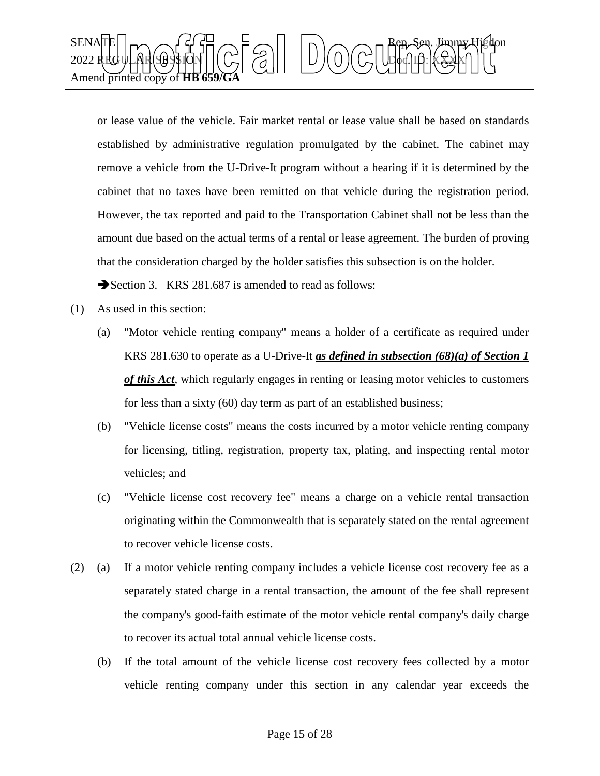

or lease value of the vehicle. Fair market rental or lease value shall be based on standards established by administrative regulation promulgated by the cabinet. The cabinet may remove a vehicle from the U-Drive-It program without a hearing if it is determined by the cabinet that no taxes have been remitted on that vehicle during the registration period. However, the tax reported and paid to the Transportation Cabinet shall not be less than the amount due based on the actual terms of a rental or lease agreement. The burden of proving that the consideration charged by the holder satisfies this subsection is on the holder.

Section 3. KRS 281.687 is amended to read as follows:

- (1) As used in this section:
	- (a) "Motor vehicle renting company" means a holder of a certificate as required under KRS 281.630 to operate as a U-Drive-It *as defined in subsection (68)(a) of Section 1 of this Act*, which regularly engages in renting or leasing motor vehicles to customers for less than a sixty (60) day term as part of an established business;
	- (b) "Vehicle license costs" means the costs incurred by a motor vehicle renting company for licensing, titling, registration, property tax, plating, and inspecting rental motor vehicles; and
	- (c) "Vehicle license cost recovery fee" means a charge on a vehicle rental transaction originating within the Commonwealth that is separately stated on the rental agreement to recover vehicle license costs.
- (2) (a) If a motor vehicle renting company includes a vehicle license cost recovery fee as a separately stated charge in a rental transaction, the amount of the fee shall represent the company's good-faith estimate of the motor vehicle rental company's daily charge to recover its actual total annual vehicle license costs.
	- (b) If the total amount of the vehicle license cost recovery fees collected by a motor vehicle renting company under this section in any calendar year exceeds the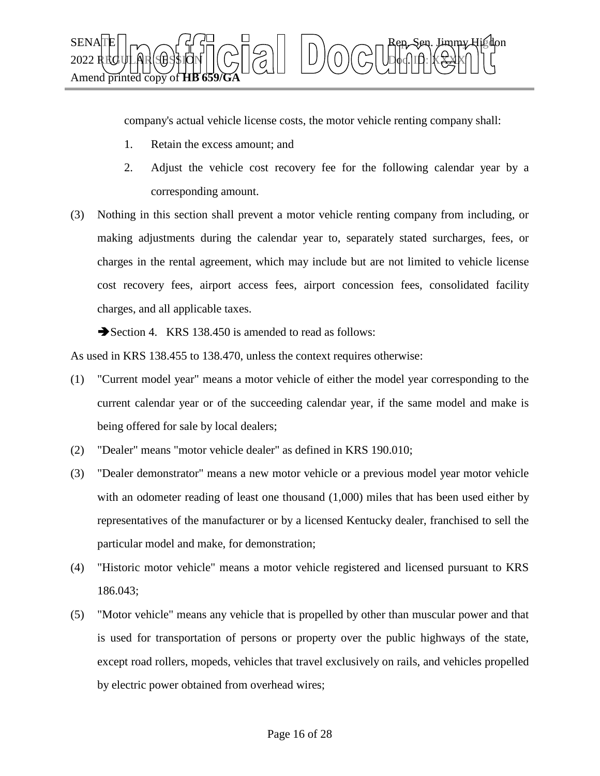

company's actual vehicle license costs, the motor vehicle renting company shall:

- 1. Retain the excess amount; and
- 2. Adjust the vehicle cost recovery fee for the following calendar year by a corresponding amount.
- (3) Nothing in this section shall prevent a motor vehicle renting company from including, or making adjustments during the calendar year to, separately stated surcharges, fees, or charges in the rental agreement, which may include but are not limited to vehicle license cost recovery fees, airport access fees, airport concession fees, consolidated facility charges, and all applicable taxes.

Section 4. KRS 138.450 is amended to read as follows:

As used in KRS 138.455 to 138.470, unless the context requires otherwise:

- (1) "Current model year" means a motor vehicle of either the model year corresponding to the current calendar year or of the succeeding calendar year, if the same model and make is being offered for sale by local dealers;
- (2) "Dealer" means "motor vehicle dealer" as defined in KRS 190.010;
- (3) "Dealer demonstrator" means a new motor vehicle or a previous model year motor vehicle with an odometer reading of least one thousand  $(1,000)$  miles that has been used either by representatives of the manufacturer or by a licensed Kentucky dealer, franchised to sell the particular model and make, for demonstration;
- (4) "Historic motor vehicle" means a motor vehicle registered and licensed pursuant to KRS 186.043;
- (5) "Motor vehicle" means any vehicle that is propelled by other than muscular power and that is used for transportation of persons or property over the public highways of the state, except road rollers, mopeds, vehicles that travel exclusively on rails, and vehicles propelled by electric power obtained from overhead wires;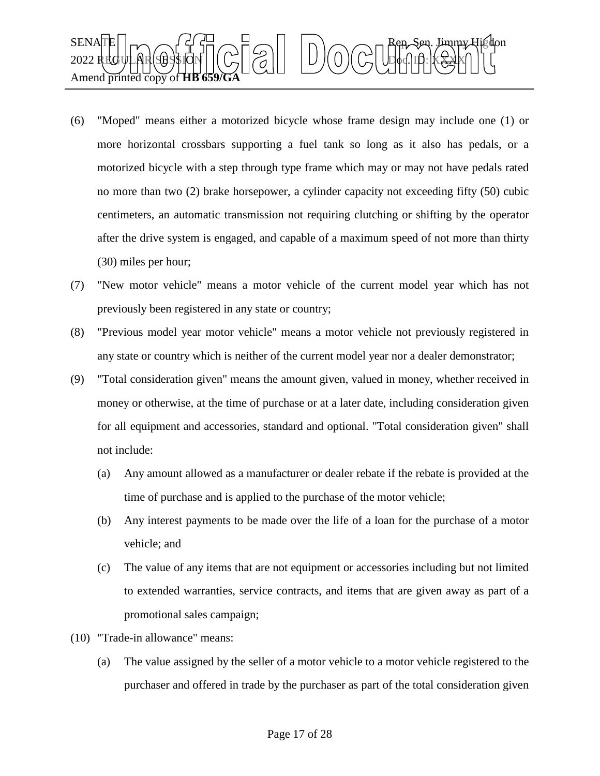

- (6) "Moped" means either a motorized bicycle whose frame design may include one (1) or more horizontal crossbars supporting a fuel tank so long as it also has pedals, or a motorized bicycle with a step through type frame which may or may not have pedals rated no more than two (2) brake horsepower, a cylinder capacity not exceeding fifty (50) cubic centimeters, an automatic transmission not requiring clutching or shifting by the operator after the drive system is engaged, and capable of a maximum speed of not more than thirty (30) miles per hour;
- (7) "New motor vehicle" means a motor vehicle of the current model year which has not previously been registered in any state or country;
- (8) "Previous model year motor vehicle" means a motor vehicle not previously registered in any state or country which is neither of the current model year nor a dealer demonstrator;
- (9) "Total consideration given" means the amount given, valued in money, whether received in money or otherwise, at the time of purchase or at a later date, including consideration given for all equipment and accessories, standard and optional. "Total consideration given" shall not include:
	- (a) Any amount allowed as a manufacturer or dealer rebate if the rebate is provided at the time of purchase and is applied to the purchase of the motor vehicle;
	- (b) Any interest payments to be made over the life of a loan for the purchase of a motor vehicle; and
	- (c) The value of any items that are not equipment or accessories including but not limited to extended warranties, service contracts, and items that are given away as part of a promotional sales campaign;
- (10) "Trade-in allowance" means:
	- (a) The value assigned by the seller of a motor vehicle to a motor vehicle registered to the purchaser and offered in trade by the purchaser as part of the total consideration given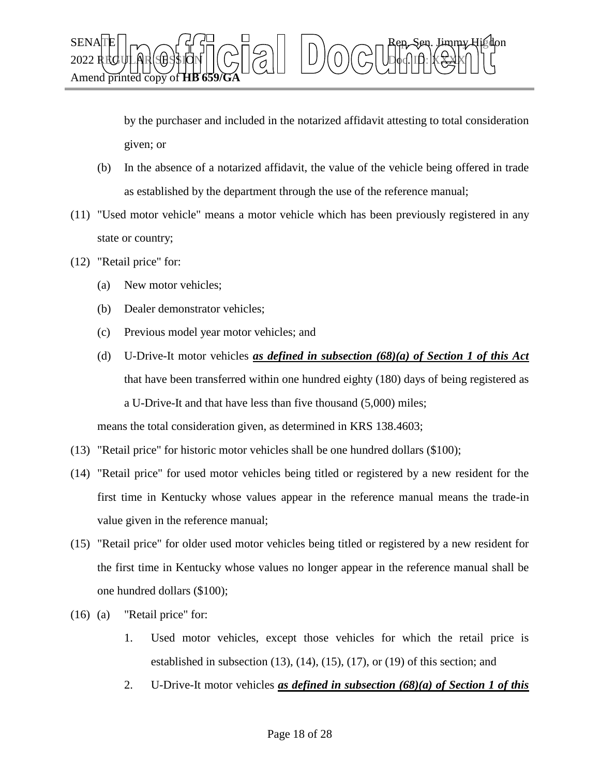

by the purchaser and included in the notarized affidavit attesting to total consideration given; or

- (b) In the absence of a notarized affidavit, the value of the vehicle being offered in trade as established by the department through the use of the reference manual;
- (11) "Used motor vehicle" means a motor vehicle which has been previously registered in any state or country;
- (12) "Retail price" for:
	- (a) New motor vehicles;
	- (b) Dealer demonstrator vehicles;
	- (c) Previous model year motor vehicles; and
	- (d) U-Drive-It motor vehicles *as defined in subsection (68)(a) of Section 1 of this Act*  that have been transferred within one hundred eighty (180) days of being registered as a U-Drive-It and that have less than five thousand (5,000) miles; means the total consideration given, as determined in KRS 138.4603;
- (13) "Retail price" for historic motor vehicles shall be one hundred dollars (\$100);
- (14) "Retail price" for used motor vehicles being titled or registered by a new resident for the first time in Kentucky whose values appear in the reference manual means the trade-in value given in the reference manual;
- (15) "Retail price" for older used motor vehicles being titled or registered by a new resident for the first time in Kentucky whose values no longer appear in the reference manual shall be one hundred dollars (\$100);
- (16) (a) "Retail price" for:
	- 1. Used motor vehicles, except those vehicles for which the retail price is established in subsection (13), (14), (15), (17), or (19) of this section; and
	- 2. U-Drive-It motor vehicles *as defined in subsection (68)(a) of Section 1 of this*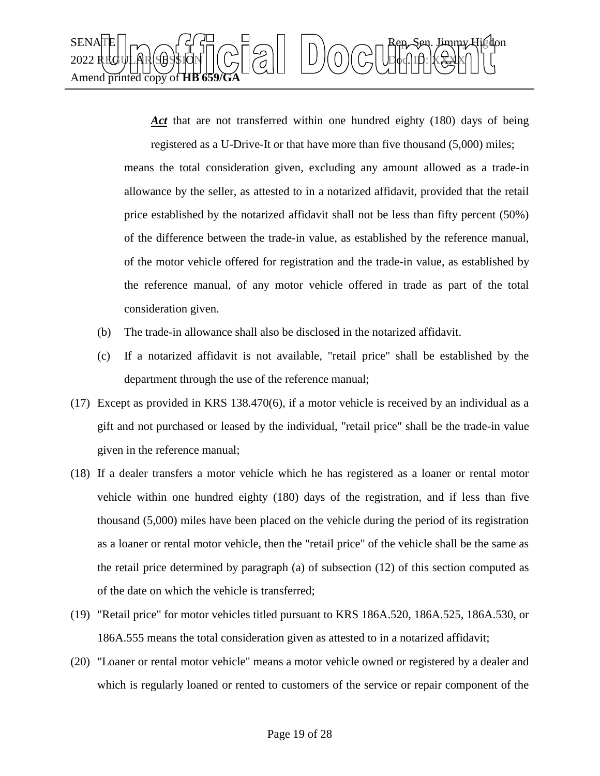

*Act* that are not transferred within one hundred eighty (180) days of being registered as a U-Drive-It or that have more than five thousand (5,000) miles;

means the total consideration given, excluding any amount allowed as a trade-in allowance by the seller, as attested to in a notarized affidavit, provided that the retail price established by the notarized affidavit shall not be less than fifty percent (50%) of the difference between the trade-in value, as established by the reference manual, of the motor vehicle offered for registration and the trade-in value, as established by the reference manual, of any motor vehicle offered in trade as part of the total consideration given.

- (b) The trade-in allowance shall also be disclosed in the notarized affidavit.
- (c) If a notarized affidavit is not available, "retail price" shall be established by the department through the use of the reference manual;
- (17) Except as provided in KRS 138.470(6), if a motor vehicle is received by an individual as a gift and not purchased or leased by the individual, "retail price" shall be the trade-in value given in the reference manual;
- (18) If a dealer transfers a motor vehicle which he has registered as a loaner or rental motor vehicle within one hundred eighty (180) days of the registration, and if less than five thousand (5,000) miles have been placed on the vehicle during the period of its registration as a loaner or rental motor vehicle, then the "retail price" of the vehicle shall be the same as the retail price determined by paragraph (a) of subsection (12) of this section computed as of the date on which the vehicle is transferred;
- (19) "Retail price" for motor vehicles titled pursuant to KRS 186A.520, 186A.525, 186A.530, or 186A.555 means the total consideration given as attested to in a notarized affidavit;
- (20) "Loaner or rental motor vehicle" means a motor vehicle owned or registered by a dealer and which is regularly loaned or rented to customers of the service or repair component of the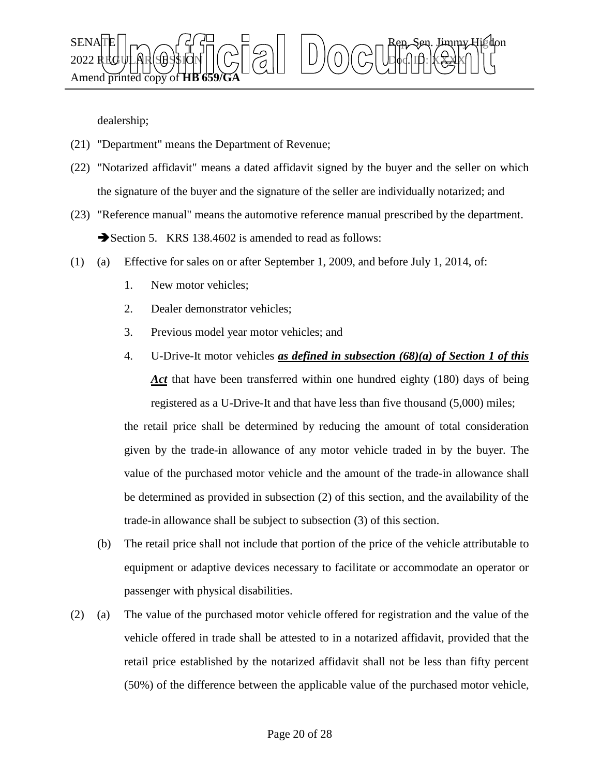

dealership;

- (21) "Department" means the Department of Revenue;
- (22) "Notarized affidavit" means a dated affidavit signed by the buyer and the seller on which the signature of the buyer and the signature of the seller are individually notarized; and
- (23) "Reference manual" means the automotive reference manual prescribed by the department. Section 5. KRS 138.4602 is amended to read as follows:
- (1) (a) Effective for sales on or after September 1, 2009, and before July 1, 2014, of:
	- 1. New motor vehicles;
	- 2. Dealer demonstrator vehicles;
	- 3. Previous model year motor vehicles; and
	- 4. U-Drive-It motor vehicles *as defined in subsection (68)(a) of Section 1 of this Act* that have been transferred within one hundred eighty (180) days of being registered as a U-Drive-It and that have less than five thousand (5,000) miles;

the retail price shall be determined by reducing the amount of total consideration given by the trade-in allowance of any motor vehicle traded in by the buyer. The value of the purchased motor vehicle and the amount of the trade-in allowance shall be determined as provided in subsection (2) of this section, and the availability of the trade-in allowance shall be subject to subsection (3) of this section.

- (b) The retail price shall not include that portion of the price of the vehicle attributable to equipment or adaptive devices necessary to facilitate or accommodate an operator or passenger with physical disabilities.
- (2) (a) The value of the purchased motor vehicle offered for registration and the value of the vehicle offered in trade shall be attested to in a notarized affidavit, provided that the retail price established by the notarized affidavit shall not be less than fifty percent (50%) of the difference between the applicable value of the purchased motor vehicle,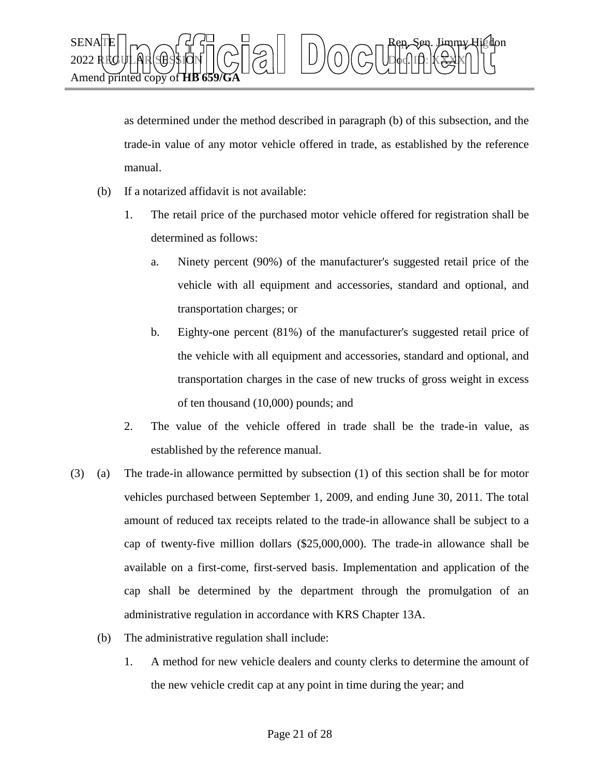

as determined under the method described in paragraph (b) of this subsection, and the trade-in value of any motor vehicle offered in trade, as established by the reference manual.

- (b) If a notarized affidavit is not available:
	- 1. The retail price of the purchased motor vehicle offered for registration shall be determined as follows:
		- a. Ninety percent (90%) of the manufacturer's suggested retail price of the vehicle with all equipment and accessories, standard and optional, and transportation charges; or
		- b. Eighty-one percent (81%) of the manufacturer's suggested retail price of the vehicle with all equipment and accessories, standard and optional, and transportation charges in the case of new trucks of gross weight in excess of ten thousand (10,000) pounds; and
	- 2. The value of the vehicle offered in trade shall be the trade-in value, as established by the reference manual.
- (3) (a) The trade-in allowance permitted by subsection (1) of this section shall be for motor vehicles purchased between September 1, 2009, and ending June 30, 2011. The total amount of reduced tax receipts related to the trade-in allowance shall be subject to a cap of twenty-five million dollars (\$25,000,000). The trade-in allowance shall be available on a first-come, first-served basis. Implementation and application of the cap shall be determined by the department through the promulgation of an administrative regulation in accordance with KRS Chapter 13A.
	- (b) The administrative regulation shall include:
		- 1. A method for new vehicle dealers and county clerks to determine the amount of the new vehicle credit cap at any point in time during the year; and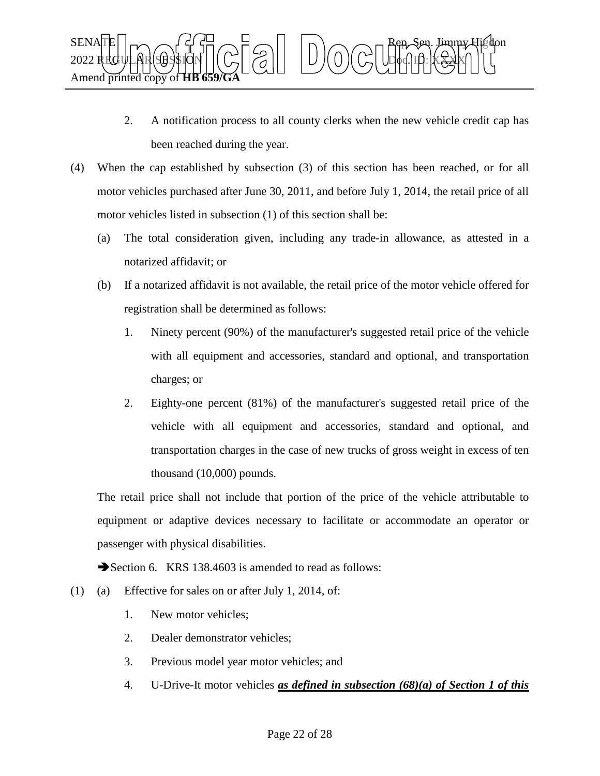

- 2. A notification process to all county clerks when the new vehicle credit cap has been reached during the year.
- (4) When the cap established by subsection (3) of this section has been reached, or for all motor vehicles purchased after June 30, 2011, and before July 1, 2014, the retail price of all motor vehicles listed in subsection (1) of this section shall be:
	- (a) The total consideration given, including any trade-in allowance, as attested in a notarized affidavit; or
	- (b) If a notarized affidavit is not available, the retail price of the motor vehicle offered for registration shall be determined as follows:
		- 1. Ninety percent (90%) of the manufacturer's suggested retail price of the vehicle with all equipment and accessories, standard and optional, and transportation charges; or
		- 2. Eighty-one percent (81%) of the manufacturer's suggested retail price of the vehicle with all equipment and accessories, standard and optional, and transportation charges in the case of new trucks of gross weight in excess of ten thousand (10,000) pounds.

The retail price shall not include that portion of the price of the vehicle attributable to equipment or adaptive devices necessary to facilitate or accommodate an operator or passenger with physical disabilities.

Section 6. KRS 138.4603 is amended to read as follows:

- (1) (a) Effective for sales on or after July 1, 2014, of:
	- 1. New motor vehicles;
	- 2. Dealer demonstrator vehicles;
	- 3. Previous model year motor vehicles; and
	- 4. U-Drive-It motor vehicles *as defined in subsection (68)(a) of Section 1 of this*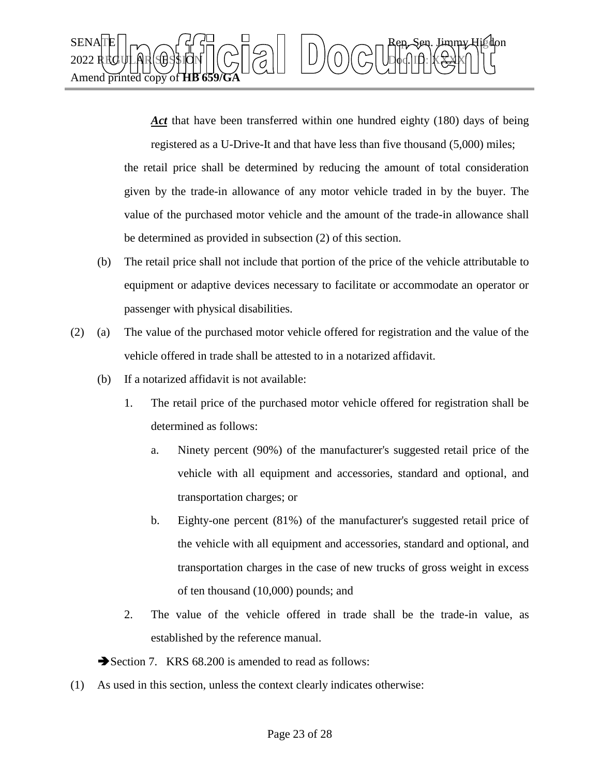

*Act* that have been transferred within one hundred eighty (180) days of being registered as a U-Drive-It and that have less than five thousand (5,000) miles; the retail price shall be determined by reducing the amount of total consideration given by the trade-in allowance of any motor vehicle traded in by the buyer. The

value of the purchased motor vehicle and the amount of the trade-in allowance shall

be determined as provided in subsection (2) of this section.

- (b) The retail price shall not include that portion of the price of the vehicle attributable to equipment or adaptive devices necessary to facilitate or accommodate an operator or passenger with physical disabilities.
- (2) (a) The value of the purchased motor vehicle offered for registration and the value of the vehicle offered in trade shall be attested to in a notarized affidavit.
	- (b) If a notarized affidavit is not available:
		- 1. The retail price of the purchased motor vehicle offered for registration shall be determined as follows:
			- a. Ninety percent (90%) of the manufacturer's suggested retail price of the vehicle with all equipment and accessories, standard and optional, and transportation charges; or
			- b. Eighty-one percent (81%) of the manufacturer's suggested retail price of the vehicle with all equipment and accessories, standard and optional, and transportation charges in the case of new trucks of gross weight in excess of ten thousand (10,000) pounds; and
		- 2. The value of the vehicle offered in trade shall be the trade-in value, as established by the reference manual.

Section 7. KRS 68.200 is amended to read as follows:

(1) As used in this section, unless the context clearly indicates otherwise: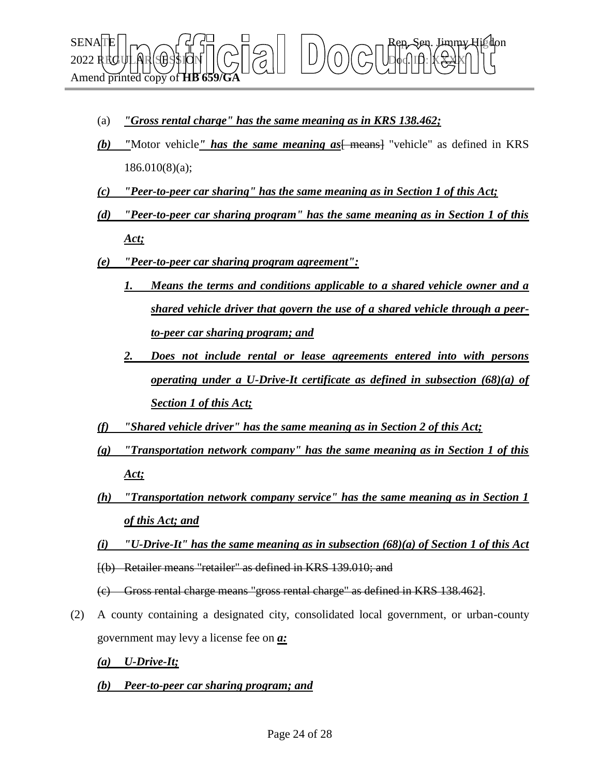

- (a) *"Gross rental charge" has the same meaning as in KRS 138.462;*
- *(b)* **"**Motor vehicle" has the same meaning as  $\frac{1}{2}$  means  $\frac{1}{2}$  "vehicle" as defined in KRS 186.010(8)(a);
- *(c) "Peer-to-peer car sharing" has the same meaning as in Section 1 of this Act;*
- *(d) "Peer-to-peer car sharing program" has the same meaning as in Section 1 of this Act;*
- *(e) "Peer-to-peer car sharing program agreement":*
	- *1. Means the terms and conditions applicable to a shared vehicle owner and a shared vehicle driver that govern the use of a shared vehicle through a peerto-peer car sharing program; and*
	- *2. Does not include rental or lease agreements entered into with persons operating under a U-Drive-It certificate as defined in subsection (68)(a) of Section 1 of this Act;*
- *(f) "Shared vehicle driver" has the same meaning as in Section 2 of this Act;*
- *(g) "Transportation network company" has the same meaning as in Section 1 of this Act;*
- *(h) "Transportation network company service" has the same meaning as in Section 1 of this Act; and*
- *(i) "U-Drive-It" has the same meaning as in subsection (68)(a) of Section 1 of this Act* [(b) Retailer means "retailer" as defined in KRS 139.010; and
- (c) Gross rental charge means "gross rental charge" as defined in KRS 138.462].
- (2) A county containing a designated city, consolidated local government, or urban-county government may levy a license fee on *a:*
	- *(a) U-Drive-It;*
	- *(b) Peer-to-peer car sharing program; and*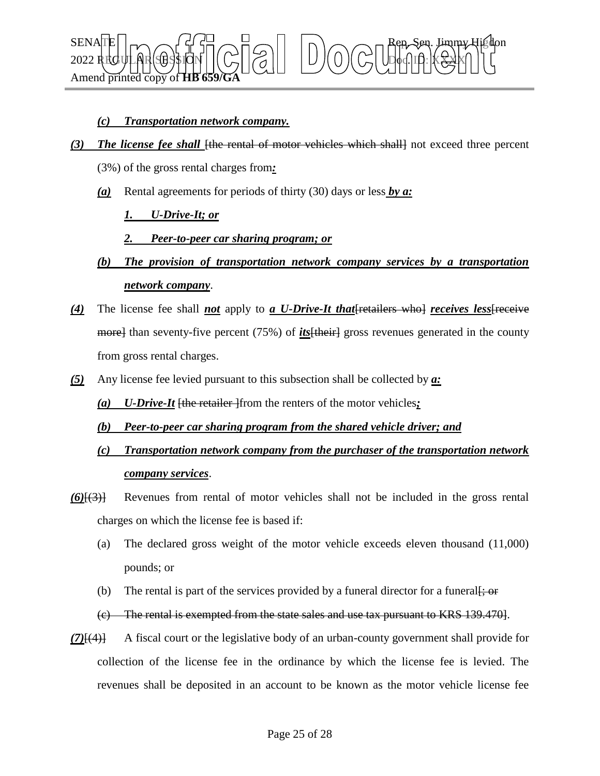

### *(c) Transportation network company.*

- *(3) The license fee shall* [the rental of motor vehicles which shall] not exceed three percent
	- (3%) of the gross rental charges from*:*
	- *(a)* Rental agreements for periods of thirty (30) days or less *by a:*

#### *1. U-Drive-It; or*

#### *2. Peer-to-peer car sharing program; or*

- *(b) The provision of transportation network company services by a transportation network company*.
- *(4)* The license fee shall *not* apply to *a U-Drive-It that*[retailers who] *receives less*[receive more] than seventy-five percent (75%) of *its*[their] gross revenues generated in the county from gross rental charges.
- *(5)* Any license fee levied pursuant to this subsection shall be collected by *a:*
	- *(a) U-Drive-It* [the retailer ]from the renters of the motor vehicles*;*

#### *(b) Peer-to-peer car sharing program from the shared vehicle driver; and*

- *(c) Transportation network company from the purchaser of the transportation network company services*.
- *(6)*[(3)] Revenues from rental of motor vehicles shall not be included in the gross rental charges on which the license fee is based if:
	- (a) The declared gross weight of the motor vehicle exceeds eleven thousand (11,000) pounds; or
	- (b) The rental is part of the services provided by a funeral director for a funeral  $\ddot{\mathbf{t}}$ ; or
	- (c) The rental is exempted from the state sales and use tax pursuant to KRS 139.470].
- *(7)*[(4)] A fiscal court or the legislative body of an urban-county government shall provide for collection of the license fee in the ordinance by which the license fee is levied. The revenues shall be deposited in an account to be known as the motor vehicle license fee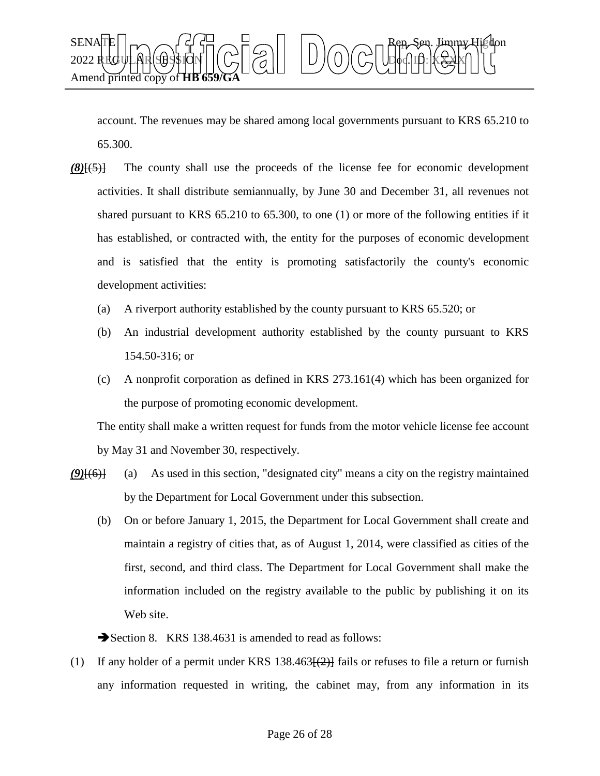

account. The revenues may be shared among local governments pursuant to KRS 65.210 to 65.300.

- *(8)*[(5)] The county shall use the proceeds of the license fee for economic development activities. It shall distribute semiannually, by June 30 and December 31, all revenues not shared pursuant to KRS 65.210 to 65.300, to one (1) or more of the following entities if it has established, or contracted with, the entity for the purposes of economic development and is satisfied that the entity is promoting satisfactorily the county's economic development activities:
	- (a) A riverport authority established by the county pursuant to KRS 65.520; or
	- (b) An industrial development authority established by the county pursuant to KRS 154.50-316; or
	- (c) A nonprofit corporation as defined in KRS 273.161(4) which has been organized for the purpose of promoting economic development.

The entity shall make a written request for funds from the motor vehicle license fee account by May 31 and November 30, respectively.

- *(9)*[(6)] (a) As used in this section, "designated city" means a city on the registry maintained by the Department for Local Government under this subsection.
	- (b) On or before January 1, 2015, the Department for Local Government shall create and maintain a registry of cities that, as of August 1, 2014, were classified as cities of the first, second, and third class. The Department for Local Government shall make the information included on the registry available to the public by publishing it on its Web site.

Section 8. KRS 138.4631 is amended to read as follows:

(1) If any holder of a permit under KRS 138.463 $\left[\frac{2}{2}\right]$  fails or refuses to file a return or furnish any information requested in writing, the cabinet may, from any information in its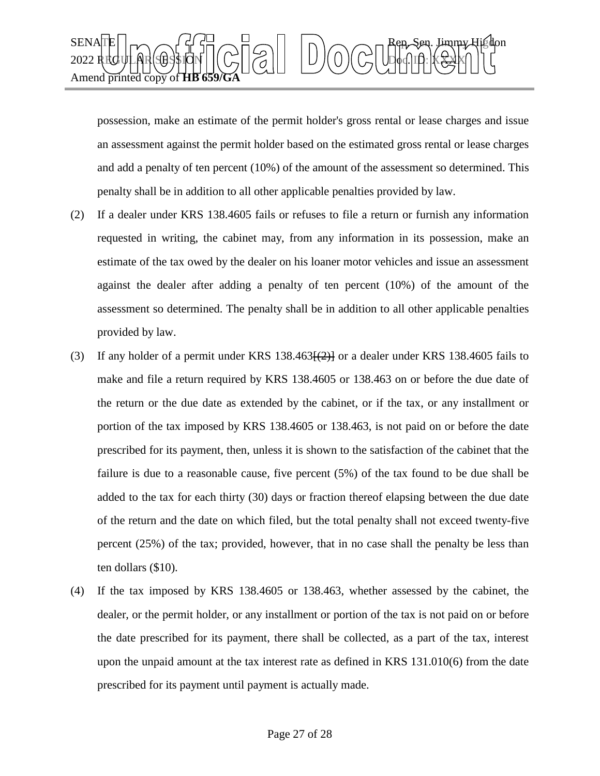

possession, make an estimate of the permit holder's gross rental or lease charges and issue an assessment against the permit holder based on the estimated gross rental or lease charges and add a penalty of ten percent (10%) of the amount of the assessment so determined. This penalty shall be in addition to all other applicable penalties provided by law.

- (2) If a dealer under KRS 138.4605 fails or refuses to file a return or furnish any information requested in writing, the cabinet may, from any information in its possession, make an estimate of the tax owed by the dealer on his loaner motor vehicles and issue an assessment against the dealer after adding a penalty of ten percent (10%) of the amount of the assessment so determined. The penalty shall be in addition to all other applicable penalties provided by law.
- (3) If any holder of a permit under KRS  $138.463\left[\frac{2}{2}\right]$  or a dealer under KRS 138.4605 fails to make and file a return required by KRS 138.4605 or 138.463 on or before the due date of the return or the due date as extended by the cabinet, or if the tax, or any installment or portion of the tax imposed by KRS 138.4605 or 138.463, is not paid on or before the date prescribed for its payment, then, unless it is shown to the satisfaction of the cabinet that the failure is due to a reasonable cause, five percent (5%) of the tax found to be due shall be added to the tax for each thirty (30) days or fraction thereof elapsing between the due date of the return and the date on which filed, but the total penalty shall not exceed twenty-five percent (25%) of the tax; provided, however, that in no case shall the penalty be less than ten dollars (\$10).
- (4) If the tax imposed by KRS 138.4605 or 138.463, whether assessed by the cabinet, the dealer, or the permit holder, or any installment or portion of the tax is not paid on or before the date prescribed for its payment, there shall be collected, as a part of the tax, interest upon the unpaid amount at the tax interest rate as defined in KRS 131.010(6) from the date prescribed for its payment until payment is actually made.